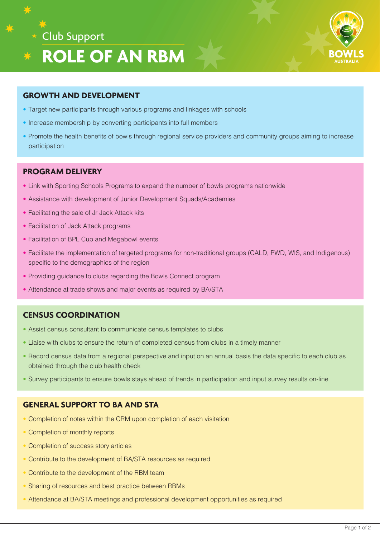



#### **GROWTH AND DEVELOPMENT**

- Target new participants through various programs and linkages with schools
- Increase membership by converting participants into full members
- Promote the health benefits of bowls through regional service providers and community groups aiming to increase participation

#### **PROGRAM DELIVERY**

- Link with Sporting Schools Programs to expand the number of bowls programs nationwide
- Assistance with development of Junior Development Squads/Academies
- Facilitating the sale of Jr Jack Attack kits
- Facilitation of Jack Attack programs
- Facilitation of BPL Cup and Megabowl events
- Facilitate the implementation of targeted programs for non-traditional groups (CALD, PWD, WIS, and Indigenous) specific to the demographics of the region
- Providing guidance to clubs regarding the Bowls Connect program
- Attendance at trade shows and major events as required by BA/STA

### **CENSUS COORDINATION**

- Assist census consultant to communicate census templates to clubs
- Liaise with clubs to ensure the return of completed census from clubs in a timely manner
- Record census data from a regional perspective and input on an annual basis the data specific to each club as obtained through the club health check
- Survey participants to ensure bowls stays ahead of trends in participation and input survey results on-line

## **GENERAL SUPPORT TO BA AND STA**

- Completion of notes within the CRM upon completion of each visitation
- Completion of monthly reports
- Completion of success story articles
- Contribute to the development of BA/STA resources as required
- Contribute to the development of the RBM team
- Sharing of resources and best practice between RBMs
- Attendance at BA/STA meetings and professional development opportunities as required